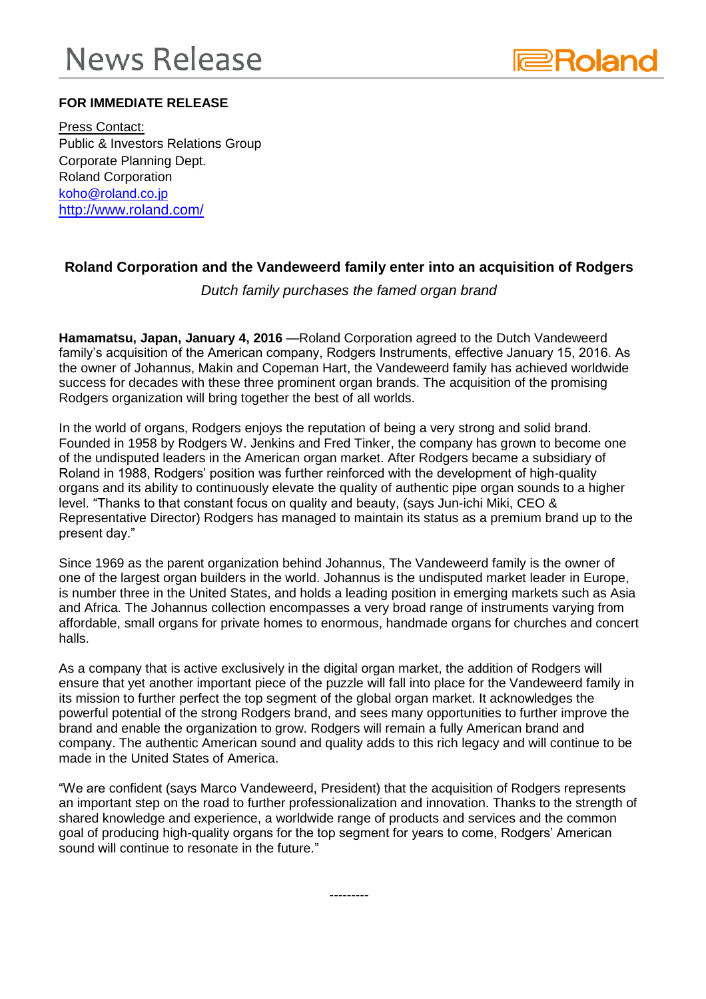## **News Release**



## **FOR IMMEDIATE RELEASE**

Press Contact: Public & Investors Relations Group Corporate Planning Dept. Roland Corporation [koho@roland.co.jp](mailto:koho@roland.co.jp) <http://www.roland.com/>

## **Roland Corporation and the Vandeweerd family enter into an acquisition of Rodgers**

*Dutch family purchases the famed organ brand*

**Hamamatsu, Japan, January 4, 2016** —Roland Corporation agreed to the Dutch Vandeweerd family's acquisition of the American company, Rodgers Instruments, effective January 15, 2016. As the owner of Johannus, Makin and Copeman Hart, the Vandeweerd family has achieved worldwide success for decades with these three prominent organ brands. The acquisition of the promising Rodgers organization will bring together the best of all worlds.

In the world of organs, Rodgers enjoys the reputation of being a very strong and solid brand. Founded in 1958 by Rodgers W. Jenkins and Fred Tinker, the company has grown to become one of the undisputed leaders in the American organ market. After Rodgers became a subsidiary of Roland in 1988, Rodgers' position was further reinforced with the development of high-quality organs and its ability to continuously elevate the quality of authentic pipe organ sounds to a higher level. "Thanks to that constant focus on quality and beauty, (says Jun-ichi Miki, CEO & Representative Director) Rodgers has managed to maintain its status as a premium brand up to the present day."

Since 1969 as the parent organization behind Johannus, The Vandeweerd family is the owner of one of the largest organ builders in the world. Johannus is the undisputed market leader in Europe, is number three in the United States, and holds a leading position in emerging markets such as Asia and Africa. The Johannus collection encompasses a very broad range of instruments varying from affordable, small organs for private homes to enormous, handmade organs for churches and concert halls.

As a company that is active exclusively in the digital organ market, the addition of Rodgers will ensure that yet another important piece of the puzzle will fall into place for the Vandeweerd family in its mission to further perfect the top segment of the global organ market. It acknowledges the powerful potential of the strong Rodgers brand, and sees many opportunities to further improve the brand and enable the organization to grow. Rodgers will remain a fully American brand and company. The authentic American sound and quality adds to this rich legacy and will continue to be made in the United States of America.

"We are confident (says Marco Vandeweerd, President) that the acquisition of Rodgers represents an important step on the road to further professionalization and innovation. Thanks to the strength of shared knowledge and experience, a worldwide range of products and services and the common goal of producing high-quality organs for the top segment for years to come, Rodgers' American sound will continue to resonate in the future."

---------